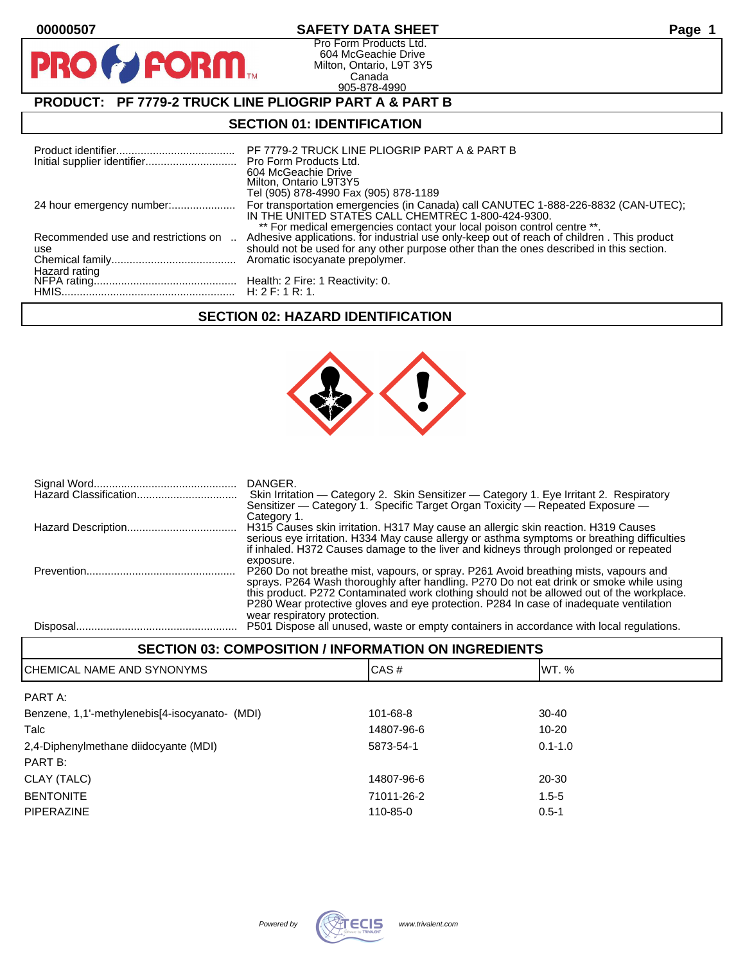| 00000507                                                          | <b>SAFETY DATA SHEET</b>                                                                                                                                                                                                                                                                                          | Page 1 |  |  |  |
|-------------------------------------------------------------------|-------------------------------------------------------------------------------------------------------------------------------------------------------------------------------------------------------------------------------------------------------------------------------------------------------------------|--------|--|--|--|
| <b>PRO &amp; FORM</b>                                             | Pro Form Products Ltd.<br>604 McGeachie Drive<br>Milton, Ontario, L9T 3Y5<br>Canada<br>905-878-4990                                                                                                                                                                                                               |        |  |  |  |
| <b>PRODUCT: PF 7779-2 TRUCK LINE PLIOGRIP PART A &amp; PART B</b> |                                                                                                                                                                                                                                                                                                                   |        |  |  |  |
| <b>SECTION 01: IDENTIFICATION</b>                                 |                                                                                                                                                                                                                                                                                                                   |        |  |  |  |
|                                                                   | PF 7779-2 TRUCK LINE PLIOGRIP PART A & PART B<br>Pro Form Products Ltd.<br>604 McGeachie Drive<br>Milton, Ontario L9T3Y5<br>Tel (905) 878-4990 Fax (905) 878-1189                                                                                                                                                 |        |  |  |  |
|                                                                   | For transportation emergencies (in Canada) call CANUTEC 1-888-226-8832 (CAN-UTEC);<br>IN THE UNITED STATES CALL CHEMTREC 1-800-424-9300.<br>** For medical emergencies contact your local poison control centre **.<br>Adhesive applications. for industrial use only-keep out of reach of children. This product |        |  |  |  |
| Recommended use and restrictions on                               |                                                                                                                                                                                                                                                                                                                   |        |  |  |  |
| use<br>Hazard rating                                              | should not be used for any other purpose other than the ones described in this section.<br>Aromatic isocyanate prepolymer.                                                                                                                                                                                        |        |  |  |  |
|                                                                   |                                                                                                                                                                                                                                                                                                                   |        |  |  |  |

# **SECTION 02: HAZARD IDENTIFICATION**

HMIS......................................................... H: 2 F: 1 R: 1.



|          | DANGER.<br>Skin Irritation — Category 2. Skin Sensitizer — Category 1. Eye Irritant 2. Respiratory<br>Sensitizer - Category 1. Specific Target Organ Toxicity - Repeated Exposure -<br>Category 1.                                                                                                                                                                                                     |
|----------|--------------------------------------------------------------------------------------------------------------------------------------------------------------------------------------------------------------------------------------------------------------------------------------------------------------------------------------------------------------------------------------------------------|
|          | H315 Causes skin irritation. H317 May cause an allergic skin reaction. H319 Causes<br>serious eye irritation. H334 May cause allergy or asthma symptoms or breathing difficulties<br>if inhaled. H372 Causes damage to the liver and kidneys through prolonged or repeated<br>exposure.                                                                                                                |
|          | P260 Do not breathe mist, vapours, or spray. P261 Avoid breathing mists, vapours and<br>sprays. P264 Wash thoroughly after handling. P270 Do not eat drink or smoke while using<br>this product. P272 Contaminated work clothing should not be allowed out of the workplace.<br>P280 Wear protective gloves and eye protection. P284 In case of inadequate ventilation<br>wear respiratory protection. |
| Disposal | P501 Dispose all unused, waste or empty containers in accordance with local regulations.                                                                                                                                                                                                                                                                                                               |

| <b>SECTION 03: COMPOSITION / INFORMATION ON INGREDIENTS</b> |      |        |  |
|-------------------------------------------------------------|------|--------|--|
| CHEMICAL NAME AND SYNONYMS                                  | CAS# | IWT. % |  |

| PART A:                                        |            |             |
|------------------------------------------------|------------|-------------|
| Benzene, 1,1'-methylenebis[4-isocyanato- (MDI) | 101-68-8   | $30 - 40$   |
| Talc                                           | 14807-96-6 | 10-20       |
| 2,4-Diphenylmethane diidocyante (MDI)          | 5873-54-1  | $0.1 - 1.0$ |
| PART B:                                        |            |             |
| CLAY (TALC)                                    | 14807-96-6 | 20-30       |
| <b>BENTONITE</b>                               | 71011-26-2 | $1.5 - 5$   |
| <b>PIPERAZINE</b>                              | 110-85-0   | $0.5 - 1$   |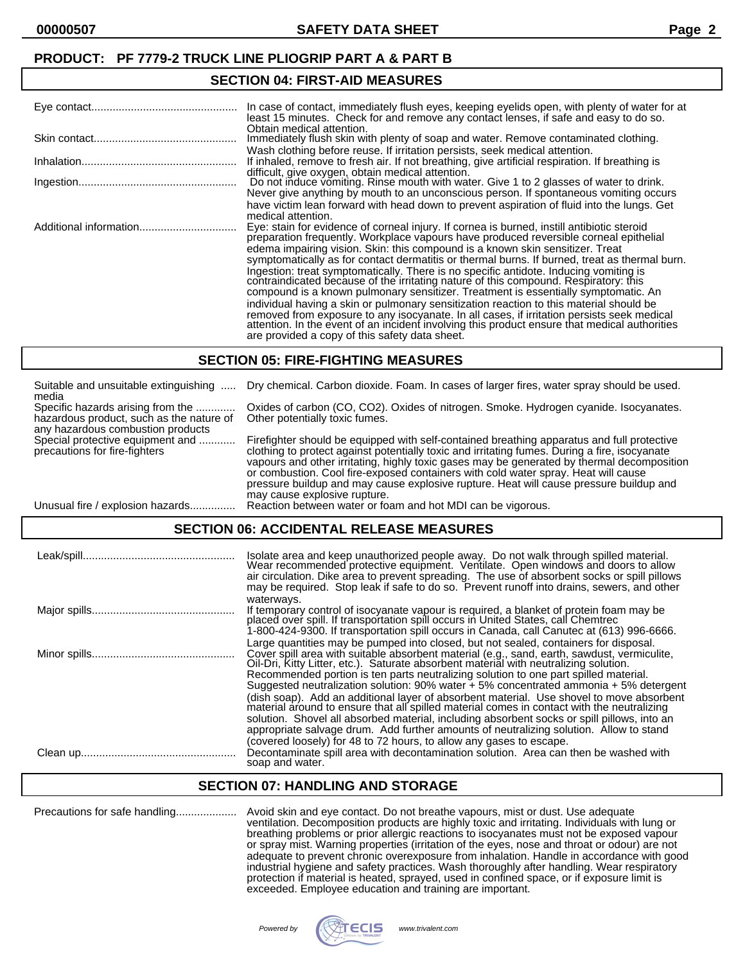## **SECTION 04: FIRST-AID MEASURES**

| In case of contact, immediately flush eyes, keeping eyelids open, with plenty of water for at<br>least 15 minutes. Check for and remove any contact lenses, if safe and easy to do so.<br>Obtain medical attention.                                                                                                                                                                                                                                                                                                                                                                                                                                                                                                                                                                            |
|------------------------------------------------------------------------------------------------------------------------------------------------------------------------------------------------------------------------------------------------------------------------------------------------------------------------------------------------------------------------------------------------------------------------------------------------------------------------------------------------------------------------------------------------------------------------------------------------------------------------------------------------------------------------------------------------------------------------------------------------------------------------------------------------|
| Immediately flush skin with plenty of soap and water. Remove contaminated clothing.                                                                                                                                                                                                                                                                                                                                                                                                                                                                                                                                                                                                                                                                                                            |
| Wash clothing before reuse. If irritation persists, seek medical attention.<br>If inhaled, remove to fresh air. If not breathing, give artificial respiration. If breathing is<br>difficult, give oxygen, obtain medical attention.                                                                                                                                                                                                                                                                                                                                                                                                                                                                                                                                                            |
| Do not induce vomiting. Rinse mouth with water. Give 1 to 2 glasses of water to drink.<br>Never give anything by mouth to an unconscious person. If spontaneous vomiting occurs                                                                                                                                                                                                                                                                                                                                                                                                                                                                                                                                                                                                                |
| have victim lean forward with head down to prevent aspiration of fluid into the lungs. Get<br>medical attention.                                                                                                                                                                                                                                                                                                                                                                                                                                                                                                                                                                                                                                                                               |
| Eye: stain for evidence of corneal injury. If cornea is burned, instill antibiotic steroid preparation frequently. Workplace vapours have produced reversible corneal epithelial                                                                                                                                                                                                                                                                                                                                                                                                                                                                                                                                                                                                               |
| edema impairing vision. Skin: this compound is a known skin sensitizer. Treat<br>symptomatically as for contact dermatitis or thermal burns. If burned, treat as thermal burn.<br>Ingestion: treat symptomatically. There is no specific antidote. Inducing vomiting is<br>contraindicated because of the irritating nature of this compound. Respiratory: this<br>compound is a known pulmonary sensitizer. Treatment is essentially symptomatic. An<br>individual having a skin or pulmonary sensitization reaction to this material should be<br>removed from exposure to any isocyanate. In all cases, if irritation persists seek medical attention. In the event of an incident involving this product ensure that medical authorities<br>are provided a copy of this safety data sheet. |

#### **SECTION 05: FIRE-FIGHTING MEASURES**

| Suitable and unsuitable extinguishing<br>media                                                                     | Dry chemical. Carbon dioxide. Foam. In cases of larger fires, water spray should be used.                                                                                                                                                                                                                                                                                                                                                                                                                 |
|--------------------------------------------------------------------------------------------------------------------|-----------------------------------------------------------------------------------------------------------------------------------------------------------------------------------------------------------------------------------------------------------------------------------------------------------------------------------------------------------------------------------------------------------------------------------------------------------------------------------------------------------|
| Specific hazards arising from the<br>hazardous product, such as the nature of<br>any hazardous combustion products | Oxides of carbon (CO, CO2). Oxides of nitrogen. Smoke. Hydrogen cyanide. Isocyanates.<br>Other potentially toxic fumes.                                                                                                                                                                                                                                                                                                                                                                                   |
| Special protective equipment and<br>precautions for fire-fighters                                                  | Firefighter should be equipped with self-contained breathing apparatus and full protective<br>clothing to protect against potentially toxic and irritating fumes. During a fire, isocyanate<br>vapours and other irritating, highly toxic gases may be generated by thermal decomposition<br>or combustion. Cool fire-exposed containers with cold water spray. Heat will cause<br>pressure buildup and may cause explosive rupture. Heat will cause pressure buildup and<br>may cause explosive rupture. |
| Unusual fire / explosion hazards                                                                                   | Reaction between water or foam and hot MDI can be vigorous.                                                                                                                                                                                                                                                                                                                                                                                                                                               |

## **SECTION 06: ACCIDENTAL RELEASE MEASURES**

| Isolate area and keep unauthorized people away. Do not walk through spilled material.<br>Wear recommended protective equipment. Ventilate. Open windows and doors to allow<br>air circulation. Dike area to prevent spreading. The use of absorbent socks or spill pillows<br>may be required. Stop leak if safe to do so. Prevent runoff into drains, sewers, and other                                                                                                                                                                                                                                                                                                                                                                                                                                                                         |
|--------------------------------------------------------------------------------------------------------------------------------------------------------------------------------------------------------------------------------------------------------------------------------------------------------------------------------------------------------------------------------------------------------------------------------------------------------------------------------------------------------------------------------------------------------------------------------------------------------------------------------------------------------------------------------------------------------------------------------------------------------------------------------------------------------------------------------------------------|
| waterways.<br>If temporary control of isocyanate vapour is required, a blanket of protein foam may be<br>placed over spill. If transportation spill occurs in United States, call Chemtrec<br>1-800-424-9300. If transportation spill occurs in Canada, call Canutec at (613) 996-6666.                                                                                                                                                                                                                                                                                                                                                                                                                                                                                                                                                          |
| Large quantities may be pumped into closed, but not sealed, containers for disposal.<br>Cover spill area with suitable absorbent material (e.g., sand, earth, sawdust, vermiculite,<br>Oil-Dri, Kitty Litter, etc.). Saturate absorbent material with neutralizing solution.<br>Recommended portion is ten parts neutralizing solution to one part spilled material.<br>Suggested neutralization solution: 90% water + 5% concentrated ammonia + 5% detergent<br>(dish soap). Add an additional layer of absorbent material. Use shovel to move absorbent<br>material around to ensure that all spilled material comes in contact with the neutralizing<br>solution. Shovel all absorbed material, including absorbent socks or spill pillows, into an<br>appropriate salvage drum. Add further amounts of neutralizing solution. Allow to stand |
| (covered loosely) for 48 to 72 hours, to allow any gases to escape.<br>Decontaminate spill area with decontamination solution. Area can then be washed with<br>soap and water.                                                                                                                                                                                                                                                                                                                                                                                                                                                                                                                                                                                                                                                                   |

### **SECTION 07: HANDLING AND STORAGE**

Precautions for safe handling.................... Avoid skin and eye contact. Do not breathe vapours, mist or dust. Use adequate ventilation. Decomposition products are highly toxic and irritating. Individuals with lung or breathing problems or prior allergic reactions to isocyanates must not be exposed vapour or spray mist. Warning properties (irritation of the eyes, nose and throat or odour) are not adequate to prevent chronic overexposure from inhalation. Handle in accordance with good industrial hygiene and safety practices. Wash thoroughly after handling. Wear respiratory protection if material is heated, sprayed, used in confined space, or if exposure limit is exceeded. Employee education and training are important.

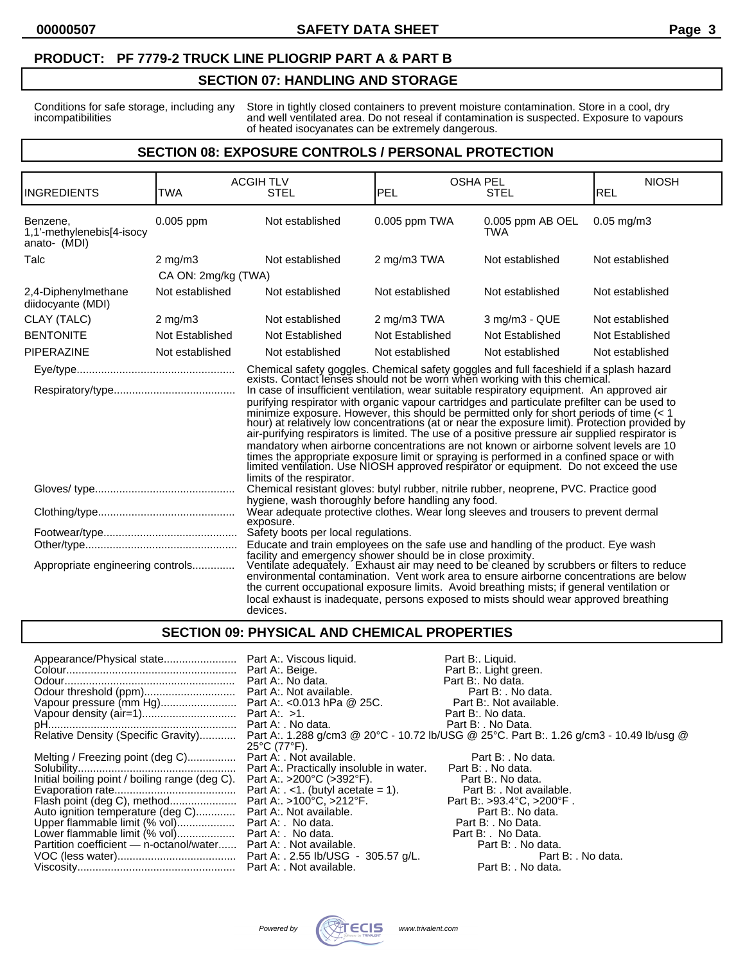## **SECTION 07: HANDLING AND STORAGE**

Conditions for safe storage, including any Store in tightly closed containers to prevent moisture contamination. Store in a cool, dry incompatibilities and well ventilated area. Do not reseal if contamination is suspected. Exposure to vapours of heated isocyanates can be extremely dangerous.

### **SECTION 08: EXPOSURE CONTROLS / PERSONAL PROTECTION**

| <b>INGREDIENTS</b>                                    | <b>TWA</b>          | <b>ACGIH TLV</b><br><b>STEL</b>                                                                                                                                                                                                                                                                                                                                                                                                                                                                                                                                                                                                                                                                                                                                                                                                                                                                                                                                          | <b>PEL</b>      | <b>OSHA PEL</b><br><b>STEL</b> | <b>NIOSH</b><br>REL |
|-------------------------------------------------------|---------------------|--------------------------------------------------------------------------------------------------------------------------------------------------------------------------------------------------------------------------------------------------------------------------------------------------------------------------------------------------------------------------------------------------------------------------------------------------------------------------------------------------------------------------------------------------------------------------------------------------------------------------------------------------------------------------------------------------------------------------------------------------------------------------------------------------------------------------------------------------------------------------------------------------------------------------------------------------------------------------|-----------------|--------------------------------|---------------------|
| Benzene.<br>1,1'-methylenebis[4-isocy<br>anato- (MDI) | 0.005 ppm           | Not established                                                                                                                                                                                                                                                                                                                                                                                                                                                                                                                                                                                                                                                                                                                                                                                                                                                                                                                                                          | 0.005 ppm TWA   | 0.005 ppm AB OEL<br><b>TWA</b> | $0.05$ mg/m $3$     |
| Talc                                                  | $2 \text{ mg/m}$ 3  | Not established                                                                                                                                                                                                                                                                                                                                                                                                                                                                                                                                                                                                                                                                                                                                                                                                                                                                                                                                                          | 2 mg/m3 TWA     | Not established                | Not established     |
|                                                       | CA ON: 2mg/kg (TWA) |                                                                                                                                                                                                                                                                                                                                                                                                                                                                                                                                                                                                                                                                                                                                                                                                                                                                                                                                                                          |                 |                                |                     |
| 2,4-Diphenylmethane<br>diidocyante (MDI)              | Not established     | Not established                                                                                                                                                                                                                                                                                                                                                                                                                                                                                                                                                                                                                                                                                                                                                                                                                                                                                                                                                          | Not established | Not established                | Not established     |
| CLAY (TALC)                                           | $2$ mg/m $3$        | Not established                                                                                                                                                                                                                                                                                                                                                                                                                                                                                                                                                                                                                                                                                                                                                                                                                                                                                                                                                          | 2 mg/m3 TWA     | 3 mg/m3 - QUE                  | Not established     |
| <b>BENTONITE</b>                                      | Not Established     | Not Established                                                                                                                                                                                                                                                                                                                                                                                                                                                                                                                                                                                                                                                                                                                                                                                                                                                                                                                                                          | Not Established | Not Established                | Not Established     |
| <b>PIPERAZINE</b>                                     | Not established     | Not established                                                                                                                                                                                                                                                                                                                                                                                                                                                                                                                                                                                                                                                                                                                                                                                                                                                                                                                                                          | Not established | Not established                | Not established     |
|                                                       |                     | Chemical safety goggles. Chemical safety goggles and full faceshield if a splash hazard exists. Contact lenses should not be worn when working with this chemical.<br>In case of insufficient ventilation, wear suitable respiratory equipment. An approved air<br>purifying respirator with organic vapour cartridges and particulate prefilter can be used to<br>minimize exposure. However, this should be permitted only for short periods of time (< 1 hour) at relatively low concentrations (at or near the exposure limit). Protection provided by<br>air-purifying respirators is limited. The use of a positive pressure air supplied respirator is<br>mandatory when airborne concentrations are not known or airborne solvent levels are 10<br>times the appropriate exposure limit or spraying is performed in a confined space or with limited ventilation. Use NIOSH approved respirator or equipment. Do not exceed the use<br>limits of the respirator. |                 |                                |                     |
|                                                       |                     | Chemical resistant gloves: butyl rubber, nitrile rubber, neoprene, PVC. Practice good                                                                                                                                                                                                                                                                                                                                                                                                                                                                                                                                                                                                                                                                                                                                                                                                                                                                                    |                 |                                |                     |
|                                                       |                     | hygiene, wash thoroughly before handling any food.<br>Wear adequate protective clothes. Wear long sleeves and trousers to prevent dermal<br>exposure.                                                                                                                                                                                                                                                                                                                                                                                                                                                                                                                                                                                                                                                                                                                                                                                                                    |                 |                                |                     |
| Appropriate engineering controls                      |                     | Safety boots per local regulations.<br>Educate and train employees on the safe use and handling of the product. Eye wash<br>facility and emergency shower should be in close proximity.<br>Ventilate adequately. Exhaust air may need to be cleaned by scrubbers or filters to reduce<br>environmental contamination. Vent work area to ensure airborne concentrations are below<br>the current occupational exposure limits. Avoid breathing mists; if general ventilation or<br>local exhaust is inadequate, persons exposed to mists should wear approved breathing<br>devices.                                                                                                                                                                                                                                                                                                                                                                                       |                 |                                |                     |

## **SECTION 09: PHYSICAL AND CHEMICAL PROPERTIES**

| Appearance/Physical state Part A:. Viscous liquid.                                                                                                                                                                                                                                                                                                                                                                                         | <b>Part B:. No data.</b> | Part B:. Liquid.<br>Part B:. Light green.<br>Part B:. No data.                                                                                                                                                                   |
|--------------------------------------------------------------------------------------------------------------------------------------------------------------------------------------------------------------------------------------------------------------------------------------------------------------------------------------------------------------------------------------------------------------------------------------------|--------------------------|----------------------------------------------------------------------------------------------------------------------------------------------------------------------------------------------------------------------------------|
|                                                                                                                                                                                                                                                                                                                                                                                                                                            |                          | Relative Density (Specific Gravity) Part A:. 1.288 g/cm3 @ 20°C - 10.72 lb/USG @ 25°C. Part B:. 1.26 g/cm3 - 10.49 lb/usg @                                                                                                      |
| Melting / Freezing point (deg C) Part A: . Not available.<br>Initial boiling point / boiling range (deg C). Part A: >200°C (>392°F).<br>Auto ignition temperature (deg C) Part A:. Not available.<br>Auto ignition temperature (deg C) Part A:. Not available.<br>Upper flammable limit (% vol) Part A: . No data.<br>Lower flammable limit (% vol) Part A: . No data.<br>Partition coefficient — n-octanol/water Part A: . Not available. | 25°C (77°F).             | Part B: . No data.<br>Part B:. No data.<br>Part B: . Not available.<br>Part B: >93.4°C, >200°F.<br>Part B:. No data.<br>Part B: . No Data.<br>Part B: No Data.<br>Part B: . No data.<br>Part B: . No data.<br>Part B: . No data. |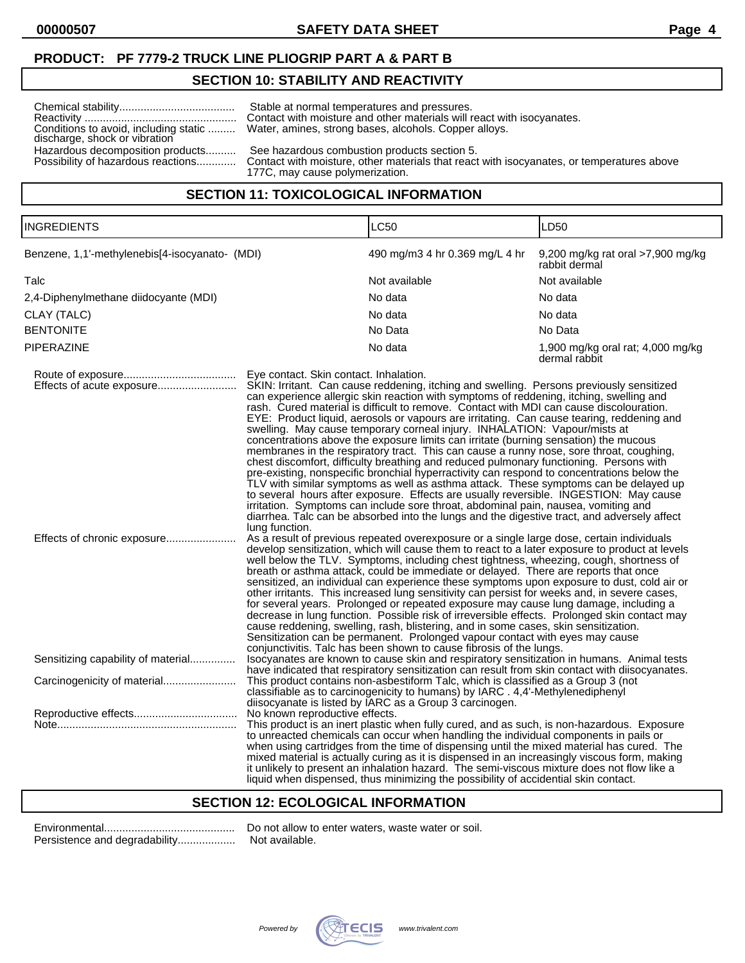### **SECTION 10: STABILITY AND REACTIVITY**

|                                       | Stable at normal temperatures and pressures.                                   |  |  |
|---------------------------------------|--------------------------------------------------------------------------------|--|--|
|                                       | Contact with moisture and other materials will react with isocyanates.         |  |  |
| Conditions to avoid, including static | Water, amines, strong bases, alcohols. Copper alloys.                          |  |  |
| discharge, shock or vibration         |                                                                                |  |  |
| Hazardous decomposition products      | See hazardous combustion products section 5.                                   |  |  |
| Poccibility of bazardous reactions    | Contact with mojeture, ether materials that react with isoguanates, or tempera |  |  |

e, other materials that react with isocyanates, or temperatures above 177C, may cause polymerization.

## **SECTION 11: TOXICOLOGICAL INFORMATION**

INGREDIENTS LC50 LD50

| Benzene, 1,1'-methylenebis[4-isocyanato- (MDI) |  | 490 mg/m3 4 hr 0.369 mg/L 4 hr 9,200 mg/kg rat oral >7,900 mg/kg |
|------------------------------------------------|--|------------------------------------------------------------------|

|                                       |                                                                                                                                                                                                                                                                                                                                                                                                                                                                                                                                                                                                                                                                                                                                                                                                                                                                                                                                                                                                                                                                                                                                                                                                                             | rabbit dermal                                      |
|---------------------------------------|-----------------------------------------------------------------------------------------------------------------------------------------------------------------------------------------------------------------------------------------------------------------------------------------------------------------------------------------------------------------------------------------------------------------------------------------------------------------------------------------------------------------------------------------------------------------------------------------------------------------------------------------------------------------------------------------------------------------------------------------------------------------------------------------------------------------------------------------------------------------------------------------------------------------------------------------------------------------------------------------------------------------------------------------------------------------------------------------------------------------------------------------------------------------------------------------------------------------------------|----------------------------------------------------|
| Talc                                  | Not available                                                                                                                                                                                                                                                                                                                                                                                                                                                                                                                                                                                                                                                                                                                                                                                                                                                                                                                                                                                                                                                                                                                                                                                                               | Not available                                      |
| 2,4-Diphenylmethane diidocyante (MDI) | No data                                                                                                                                                                                                                                                                                                                                                                                                                                                                                                                                                                                                                                                                                                                                                                                                                                                                                                                                                                                                                                                                                                                                                                                                                     | No data                                            |
| CLAY (TALC)                           | No data                                                                                                                                                                                                                                                                                                                                                                                                                                                                                                                                                                                                                                                                                                                                                                                                                                                                                                                                                                                                                                                                                                                                                                                                                     | No data                                            |
| <b>BENTONITE</b>                      | No Data                                                                                                                                                                                                                                                                                                                                                                                                                                                                                                                                                                                                                                                                                                                                                                                                                                                                                                                                                                                                                                                                                                                                                                                                                     | No Data                                            |
| PIPERAZINE                            | No data                                                                                                                                                                                                                                                                                                                                                                                                                                                                                                                                                                                                                                                                                                                                                                                                                                                                                                                                                                                                                                                                                                                                                                                                                     | 1,900 mg/kg oral rat; 4,000 mg/kg<br>dermal rabbit |
|                                       | SKIN: Irritant. Can cause reddening, itching and swelling. Persons previously sensitized<br>can experience allergic skin reaction with symptoms of reddening, itching, swelling and<br>rash. Cured material is difficult to remove. Contact with MDI can cause discolouration.<br>EYE: Product liquid, aerosols or vapours are irritating. Can cause tearing, reddening and<br>swelling. May cause temporary corneal injury. INHALATION: Vapour/mists at<br>concentrations above the exposure limits can irritate (burning sensation) the mucous<br>membranes in the respiratory tract. This can cause a runny nose, sore throat, coughing,<br>chest discomfort, difficulty breathing and reduced pulmonary functioning. Persons with<br>pre-existing, nonspecific bronchial hyperractivity can respond to concentrations below the<br>TLV with similar symptoms as well as asthma attack. These symptoms can be delayed up<br>to several hours after exposure. Effects are usually reversible. INGESTION: May cause<br>irritation. Symptoms can include sore throat, abdominal pain, nausea, vomiting and<br>diarrhea. Talc can be absorbed into the lungs and the digestive tract, and adversely affect<br>lung function. |                                                    |
|                                       | As a result of previous repeated overexposure or a single large dose, certain individuals<br>develop sensitization, which will cause them to react to a later exposure to product at levels<br>well below the TLV. Symptoms, including chest tightness, wheezing, cough, shortness of<br>breath or asthma attack, could be immediate or delayed. There are reports that once<br>sensitized, an individual can experience these symptoms upon exposure to dust, cold air or<br>other irritants. This increased lung sensitivity can persist for weeks and, in severe cases,<br>for several years. Prolonged or repeated exposure may cause lung damage, including a<br>decrease in lung function. Possible risk of irreversible effects. Prolonged skin contact may<br>cause reddening, swelling, rash, blistering, and in some cases, skin sensitization.<br>Sensitization can be permanent. Prolonged vapour contact with eyes may cause<br>conjunctivitis. Talc has been shown to cause fibrosis of the lungs.                                                                                                                                                                                                            |                                                    |
| Sensitizing capability of material    | Isocyanates are known to cause skin and respiratory sensitization in humans. Animal tests<br>have indicated that respiratory sensitization can result from skin contact with diisocyanates.                                                                                                                                                                                                                                                                                                                                                                                                                                                                                                                                                                                                                                                                                                                                                                                                                                                                                                                                                                                                                                 |                                                    |
| Carcinogenicity of material           | This product contains non-asbestiform Talc, which is classified as a Group 3 (not<br>classifiable as to carcinogenicity to humans) by IARC . 4,4'-Methylenediphenyl<br>diisocyanate is listed by IARC as a Group 3 carcinogen.                                                                                                                                                                                                                                                                                                                                                                                                                                                                                                                                                                                                                                                                                                                                                                                                                                                                                                                                                                                              |                                                    |
|                                       | No known reproductive effects.<br>This product is an inert plastic when fully cured, and as such, is non-hazardous. Exposure<br>to unreacted chemicals can occur when handling the individual components in pails or<br>when using cartridges from the time of dispensing until the mixed material has cured. The<br>mixed material is actually curing as it is dispensed in an increasingly viscous form, making<br>it unlikely to present an inhalation hazard. The semi-viscous mixture does not flow like a<br>liquid when dispensed, thus minimizing the possibility of accidential skin contact.                                                                                                                                                                                                                                                                                                                                                                                                                                                                                                                                                                                                                      |                                                    |

# **SECTION 12: ECOLOGICAL INFORMATION**

| Persistence and degradability |
|-------------------------------|

Environmental........................................... Do not allow to enter waters, waste water or soil. ... Not available.